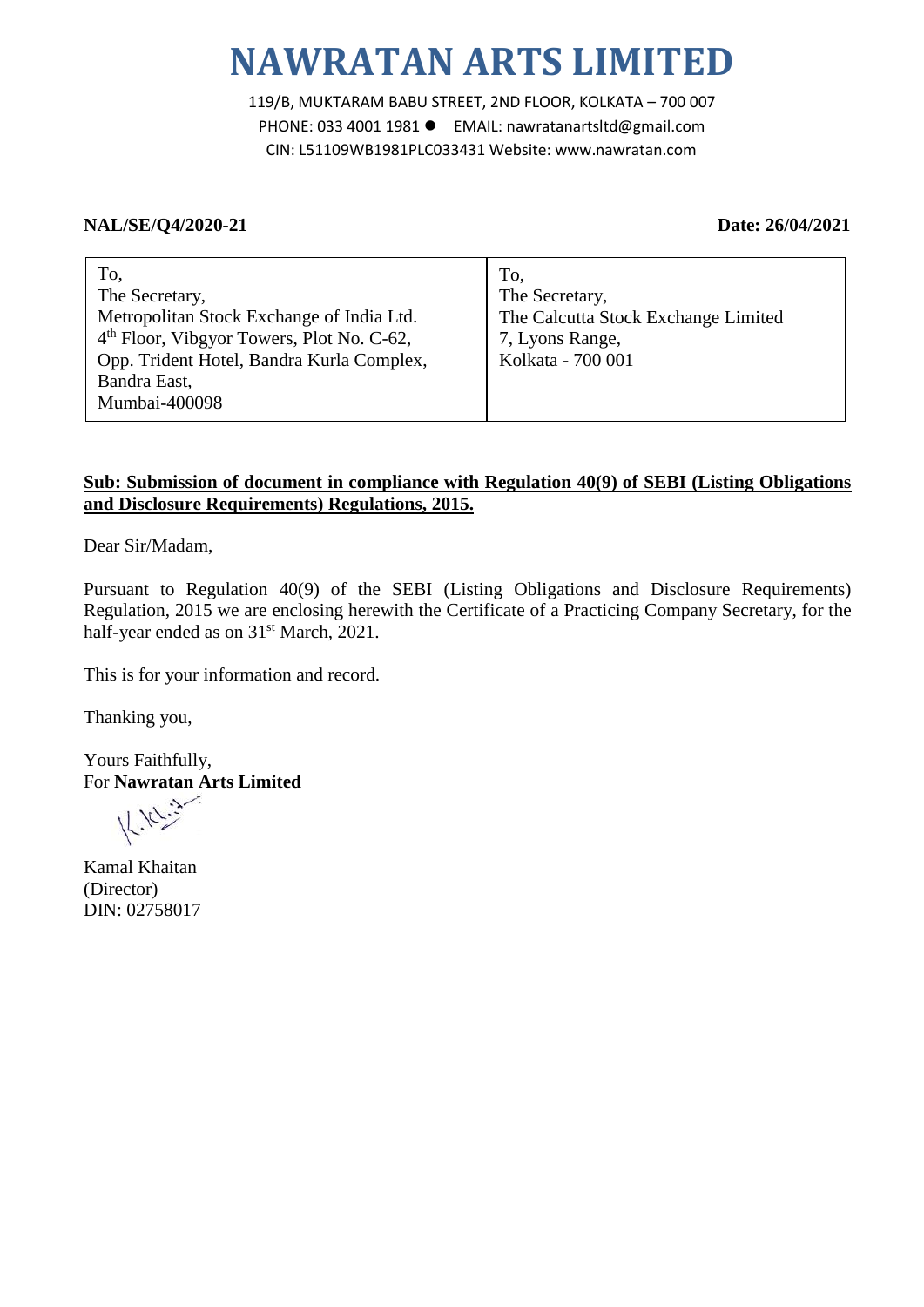# **NAWRATAN ARTS LIMITED**

119/B, MUKTARAM BABU STREET, 2ND FLOOR, KOLKATA – 700 007 PHONE: 033 4001 1981 EMAIL: nawratanartsltd@gmail.com CIN: L51109WB1981PLC033431 Website: www.nawratan.com

### **NAL/SE/Q4/2020-21 Date: 26/04/2021**

| To,                                                   | To.                                 |
|-------------------------------------------------------|-------------------------------------|
| The Secretary,                                        | The Secretary,                      |
| Metropolitan Stock Exchange of India Ltd.             | The Calcutta Stock Exchange Limited |
| 4 <sup>th</sup> Floor, Vibgyor Towers, Plot No. C-62, | 7, Lyons Range,                     |
| Opp. Trident Hotel, Bandra Kurla Complex,             | Kolkata - 700 001                   |
| Bandra East,                                          |                                     |
| Mumbai-400098                                         |                                     |

## **Sub: Submission of document in compliance with Regulation 40(9) of SEBI (Listing Obligations and Disclosure Requirements) Regulations, 2015.**

Dear Sir/Madam,

Pursuant to Regulation 40(9) of the SEBI (Listing Obligations and Disclosure Requirements) Regulation, 2015 we are enclosing herewith the Certificate of a Practicing Company Secretary, for the half-year ended as on 31<sup>st</sup> March, 2021.

This is for your information and record.

Thanking you,

Yours Faithfully, For **Nawratan Arts Limited**

 $111 - 32$ 

Kamal Khaitan (Director) DIN: 02758017